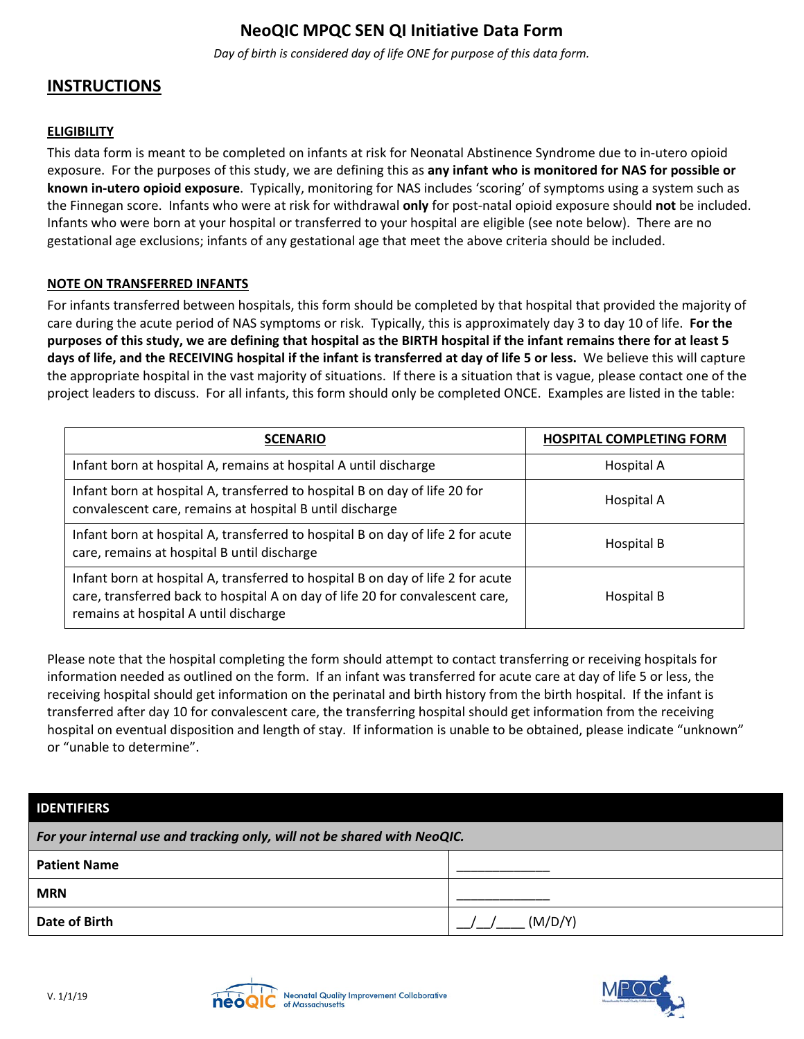## **NeoQIC MPQC SEN QI Initiative Data Form**

*Day of birth is considered day of life ONE for purpose of this data form.*

## **INSTRUCTIONS**

## **ELIGIBILITY**

This data form is meant to be completed on infants at risk for Neonatal Abstinence Syndrome due to in-utero opioid exposure. For the purposes of this study, we are defining this as **any infant who is monitored for NAS for possible or known in-utero opioid exposure**. Typically, monitoring for NAS includes 'scoring' of symptoms using a system such as the Finnegan score. Infants who were at risk for withdrawal **only** for post-natal opioid exposure should **not** be included. Infants who were born at your hospital or transferred to your hospital are eligible (see note below). There are no gestational age exclusions; infants of any gestational age that meet the above criteria should be included.

## **NOTE ON TRANSFERRED INFANTS**

For infants transferred between hospitals, this form should be completed by that hospital that provided the majority of care during the acute period of NAS symptoms or risk. Typically, this is approximately day 3 to day 10 of life. **For the purposes of this study, we are defining that hospital as the BIRTH hospital if the infant remains there for at least 5 days of life, and the RECEIVING hospital if the infant is transferred at day of life 5 or less.** We believe this will capture the appropriate hospital in the vast majority of situations. If there is a situation that is vague, please contact one of the project leaders to discuss. For all infants, this form should only be completed ONCE. Examples are listed in the table:

| <b>SCENARIO</b>                                                                                                                                                                                           | <b>HOSPITAL COMPLETING FORM</b> |
|-----------------------------------------------------------------------------------------------------------------------------------------------------------------------------------------------------------|---------------------------------|
| Infant born at hospital A, remains at hospital A until discharge                                                                                                                                          | Hospital A                      |
| Infant born at hospital A, transferred to hospital B on day of life 20 for<br>convalescent care, remains at hospital B until discharge                                                                    | Hospital A                      |
| Infant born at hospital A, transferred to hospital B on day of life 2 for acute<br>care, remains at hospital B until discharge                                                                            | Hospital B                      |
| Infant born at hospital A, transferred to hospital B on day of life 2 for acute<br>care, transferred back to hospital A on day of life 20 for convalescent care,<br>remains at hospital A until discharge | Hospital B                      |

Please note that the hospital completing the form should attempt to contact transferring or receiving hospitals for information needed as outlined on the form. If an infant was transferred for acute care at day of life 5 or less, the receiving hospital should get information on the perinatal and birth history from the birth hospital. If the infant is transferred after day 10 for convalescent care, the transferring hospital should get information from the receiving hospital on eventual disposition and length of stay. If information is unable to be obtained, please indicate "unknown" or "unable to determine".

| <b>IDENTIFIERS</b>                                                       |         |
|--------------------------------------------------------------------------|---------|
| For your internal use and tracking only, will not be shared with NeoQIC. |         |
| <b>Patient Name</b>                                                      |         |
| <b>MRN</b>                                                               |         |
| Date of Birth                                                            | (M/D/Y) |



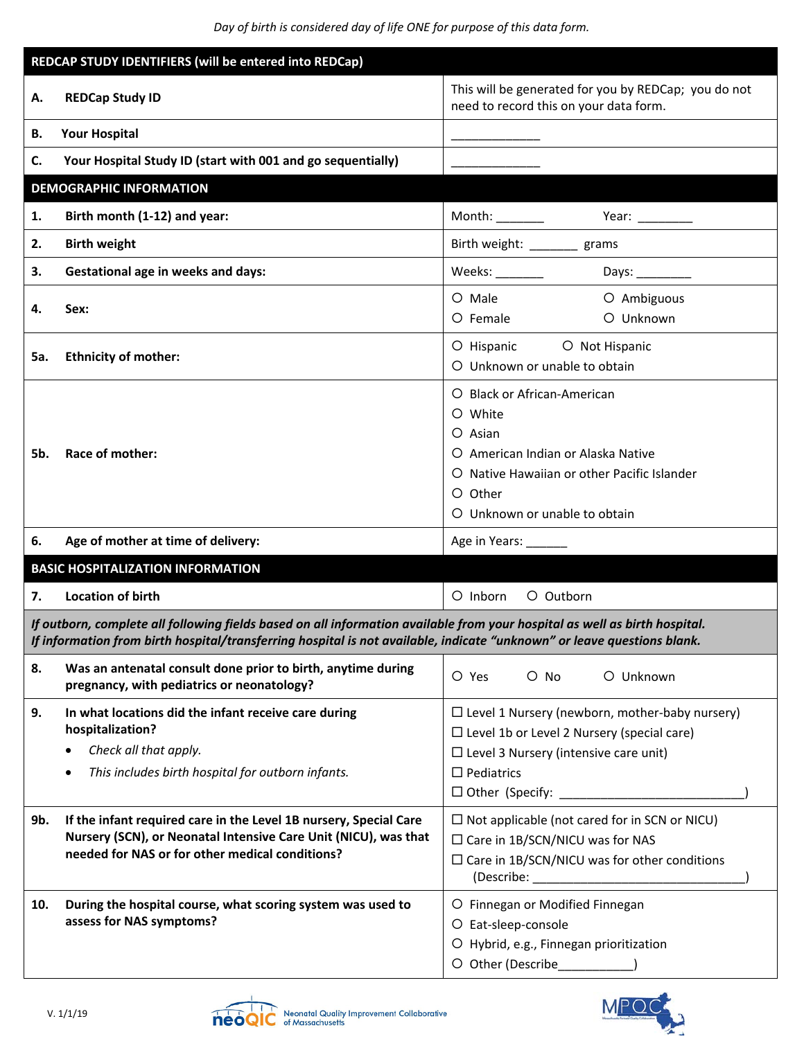*Day of birth is considered day of life ONE for purpose of this data form.*

| REDCAP STUDY IDENTIFIERS (will be entered into REDCap)                                                                                                                                                                                                |                                                                                                                                                                                         |                                                                                                                                                                                                             |
|-------------------------------------------------------------------------------------------------------------------------------------------------------------------------------------------------------------------------------------------------------|-----------------------------------------------------------------------------------------------------------------------------------------------------------------------------------------|-------------------------------------------------------------------------------------------------------------------------------------------------------------------------------------------------------------|
| А.                                                                                                                                                                                                                                                    | <b>REDCap Study ID</b>                                                                                                                                                                  | This will be generated for you by REDCap; you do not<br>need to record this on your data form.                                                                                                              |
| В.                                                                                                                                                                                                                                                    | <b>Your Hospital</b>                                                                                                                                                                    |                                                                                                                                                                                                             |
| C.                                                                                                                                                                                                                                                    | Your Hospital Study ID (start with 001 and go sequentially)                                                                                                                             |                                                                                                                                                                                                             |
|                                                                                                                                                                                                                                                       | <b>DEMOGRAPHIC INFORMATION</b>                                                                                                                                                          |                                                                                                                                                                                                             |
| 1.                                                                                                                                                                                                                                                    | Birth month (1-12) and year:                                                                                                                                                            |                                                                                                                                                                                                             |
| 2.                                                                                                                                                                                                                                                    | <b>Birth weight</b>                                                                                                                                                                     | Birth weight: ________ grams                                                                                                                                                                                |
| 3.                                                                                                                                                                                                                                                    | <b>Gestational age in weeks and days:</b>                                                                                                                                               |                                                                                                                                                                                                             |
| 4.                                                                                                                                                                                                                                                    | Sex:                                                                                                                                                                                    | O Ambiguous<br>O Male<br>O Unknown<br>$O$ Female                                                                                                                                                            |
| 5а.                                                                                                                                                                                                                                                   | <b>Ethnicity of mother:</b>                                                                                                                                                             | O Hispanic O Not Hispanic<br>O Unknown or unable to obtain                                                                                                                                                  |
| 5b.                                                                                                                                                                                                                                                   | Race of mother:                                                                                                                                                                         | O Black or African-American<br>O White<br>$\circ$ Asian<br>O American Indian or Alaska Native<br>Native Hawaiian or other Pacific Islander<br>O Other<br>O Unknown or unable to obtain                      |
| 6.                                                                                                                                                                                                                                                    | Age of mother at time of delivery:                                                                                                                                                      | Age in Years: ______                                                                                                                                                                                        |
|                                                                                                                                                                                                                                                       | <b>BASIC HOSPITALIZATION INFORMATION</b>                                                                                                                                                |                                                                                                                                                                                                             |
| 7.                                                                                                                                                                                                                                                    | <b>Location of birth</b>                                                                                                                                                                | O Inborn<br>O Outborn                                                                                                                                                                                       |
| If outborn, complete all following fields based on all information available from your hospital as well as birth hospital.<br>If information from birth hospital/transferring hospital is not available, indicate "unknown" or leave questions blank. |                                                                                                                                                                                         |                                                                                                                                                                                                             |
| 8.                                                                                                                                                                                                                                                    | Was an antenatal consult done prior to birth, anytime during<br>pregnancy, with pediatrics or neonatology?                                                                              | O Yes<br>$O$ No<br>O Unknown                                                                                                                                                                                |
| 9.                                                                                                                                                                                                                                                    | In what locations did the infant receive care during<br>hospitalization?<br>Check all that apply.<br>This includes birth hospital for outborn infants.                                  | $\Box$ Level 1 Nursery (newborn, mother-baby nursery)<br>$\Box$ Level 1b or Level 2 Nursery (special care)<br>$\Box$ Level 3 Nursery (intensive care unit)<br>$\Box$ Pediatrics<br>$\Box$ Other (Specify: _ |
| 9b.                                                                                                                                                                                                                                                   | If the infant required care in the Level 1B nursery, Special Care<br>Nursery (SCN), or Neonatal Intensive Care Unit (NICU), was that<br>needed for NAS or for other medical conditions? | $\Box$ Not applicable (not cared for in SCN or NICU)<br>$\square$ Care in 1B/SCN/NICU was for NAS<br>$\Box$ Care in 1B/SCN/NICU was for other conditions                                                    |
| 10.                                                                                                                                                                                                                                                   | During the hospital course, what scoring system was used to<br>assess for NAS symptoms?                                                                                                 | O Finnegan or Modified Finnegan<br>O Eat-sleep-console<br>O Hybrid, e.g., Finnegan prioritization<br>O Other (Describe                                                                                      |



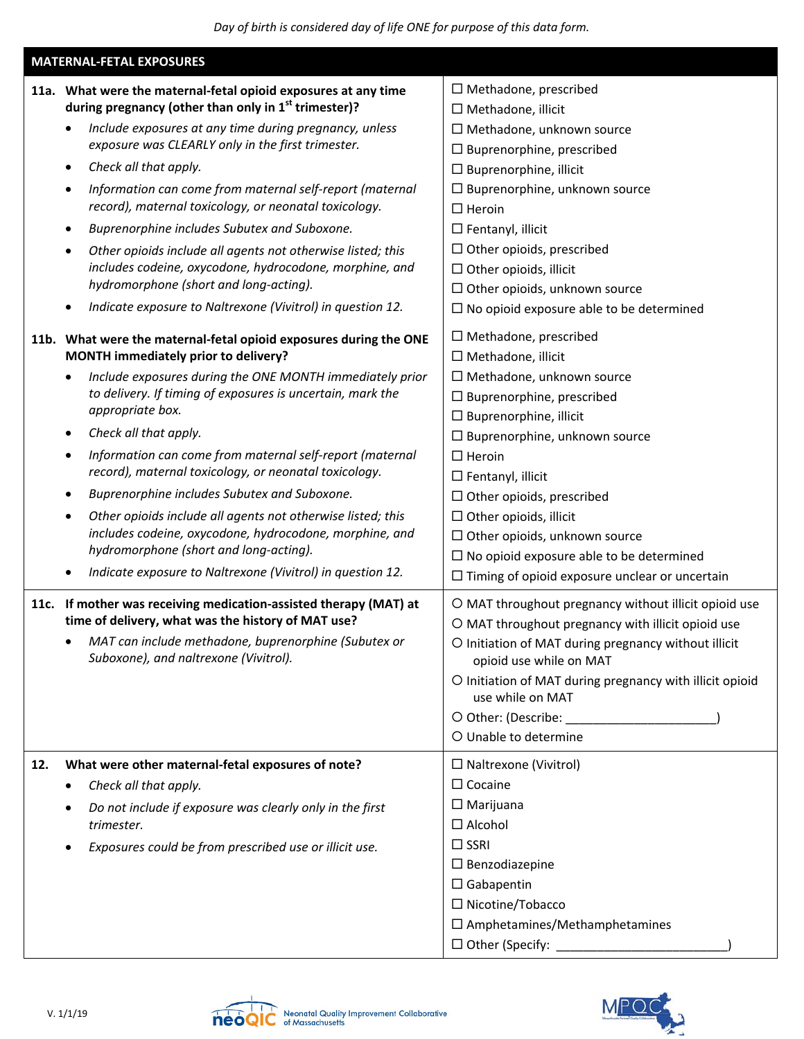|     | <b>MATERNAL-FETAL EXPOSURES</b>                                                                                                                                                                                                                                                                                                                                                                                                                                                                                                                                                                                                                                                                           |                                                                                                                                                                                                                                                                                                                                                                                                                                                                             |  |
|-----|-----------------------------------------------------------------------------------------------------------------------------------------------------------------------------------------------------------------------------------------------------------------------------------------------------------------------------------------------------------------------------------------------------------------------------------------------------------------------------------------------------------------------------------------------------------------------------------------------------------------------------------------------------------------------------------------------------------|-----------------------------------------------------------------------------------------------------------------------------------------------------------------------------------------------------------------------------------------------------------------------------------------------------------------------------------------------------------------------------------------------------------------------------------------------------------------------------|--|
|     | 11a. What were the maternal-fetal opioid exposures at any time<br>during pregnancy (other than only in 1 <sup>st</sup> trimester)?<br>Include exposures at any time during pregnancy, unless<br>exposure was CLEARLY only in the first trimester.<br>Check all that apply.<br>$\bullet$                                                                                                                                                                                                                                                                                                                                                                                                                   | $\Box$ Methadone, prescribed<br>$\Box$ Methadone, illicit<br>$\Box$ Methadone, unknown source<br>$\Box$ Buprenorphine, prescribed<br>$\Box$ Buprenorphine, illicit                                                                                                                                                                                                                                                                                                          |  |
|     | Information can come from maternal self-report (maternal<br>٠<br>record), maternal toxicology, or neonatal toxicology.<br>Buprenorphine includes Subutex and Suboxone.<br>$\bullet$<br>Other opioids include all agents not otherwise listed; this                                                                                                                                                                                                                                                                                                                                                                                                                                                        | $\Box$ Buprenorphine, unknown source<br>$\Box$ Heroin<br>$\Box$ Fentanyl, illicit<br>$\Box$ Other opioids, prescribed                                                                                                                                                                                                                                                                                                                                                       |  |
|     | includes codeine, oxycodone, hydrocodone, morphine, and<br>hydromorphone (short and long-acting).<br>Indicate exposure to Naltrexone (Vivitrol) in question 12.                                                                                                                                                                                                                                                                                                                                                                                                                                                                                                                                           | $\Box$ Other opioids, illicit<br>$\Box$ Other opioids, unknown source<br>$\Box$ No opioid exposure able to be determined                                                                                                                                                                                                                                                                                                                                                    |  |
|     | 11b. What were the maternal-fetal opioid exposures during the ONE<br>MONTH immediately prior to delivery?<br>Include exposures during the ONE MONTH immediately prior<br>to delivery. If timing of exposures is uncertain, mark the<br>appropriate box.<br>Check all that apply.<br>$\bullet$<br>Information can come from maternal self-report (maternal<br>٠<br>record), maternal toxicology, or neonatal toxicology.<br>Buprenorphine includes Subutex and Suboxone.<br>Other opioids include all agents not otherwise listed; this<br>includes codeine, oxycodone, hydrocodone, morphine, and<br>hydromorphone (short and long-acting).<br>Indicate exposure to Naltrexone (Vivitrol) in question 12. | $\Box$ Methadone, prescribed<br>□ Methadone, illicit<br>$\Box$ Methadone, unknown source<br>$\Box$ Buprenorphine, prescribed<br>$\Box$ Buprenorphine, illicit<br>$\Box$ Buprenorphine, unknown source<br>$\Box$ Heroin<br>$\Box$ Fentanyl, illicit<br>$\Box$ Other opioids, prescribed<br>$\Box$ Other opioids, illicit<br>$\Box$ Other opioids, unknown source<br>$\Box$ No opioid exposure able to be determined<br>$\Box$ Timing of opioid exposure unclear or uncertain |  |
|     | 11c. If mother was receiving medication-assisted therapy (MAT) at<br>time of delivery, what was the history of MAT use?<br>MAT can include methadone, buprenorphine (Subutex or<br>Suboxone), and naltrexone (Vivitrol).                                                                                                                                                                                                                                                                                                                                                                                                                                                                                  | O MAT throughout pregnancy without illicit opioid use<br>O MAT throughout pregnancy with illicit opioid use<br>O Initiation of MAT during pregnancy without illicit<br>opioid use while on MAT<br>O Initiation of MAT during pregnancy with illicit opioid<br>use while on MAT<br>O Other: (Describe:<br>O Unable to determine                                                                                                                                              |  |
| 12. | What were other maternal-fetal exposures of note?<br>Check all that apply.<br>٠<br>Do not include if exposure was clearly only in the first<br>trimester.<br>Exposures could be from prescribed use or illicit use.                                                                                                                                                                                                                                                                                                                                                                                                                                                                                       | $\Box$ Naltrexone (Vivitrol)<br>$\Box$ Cocaine<br>$\Box$ Marijuana<br>$\Box$ Alcohol<br>$\Box$ SSRI<br>$\square$ Benzodiazepine<br>$\Box$ Gabapentin<br>□ Nicotine/Tobacco<br>$\square$ Amphetamines/Methamphetamines<br>$\Box$ Other (Specify:                                                                                                                                                                                                                             |  |



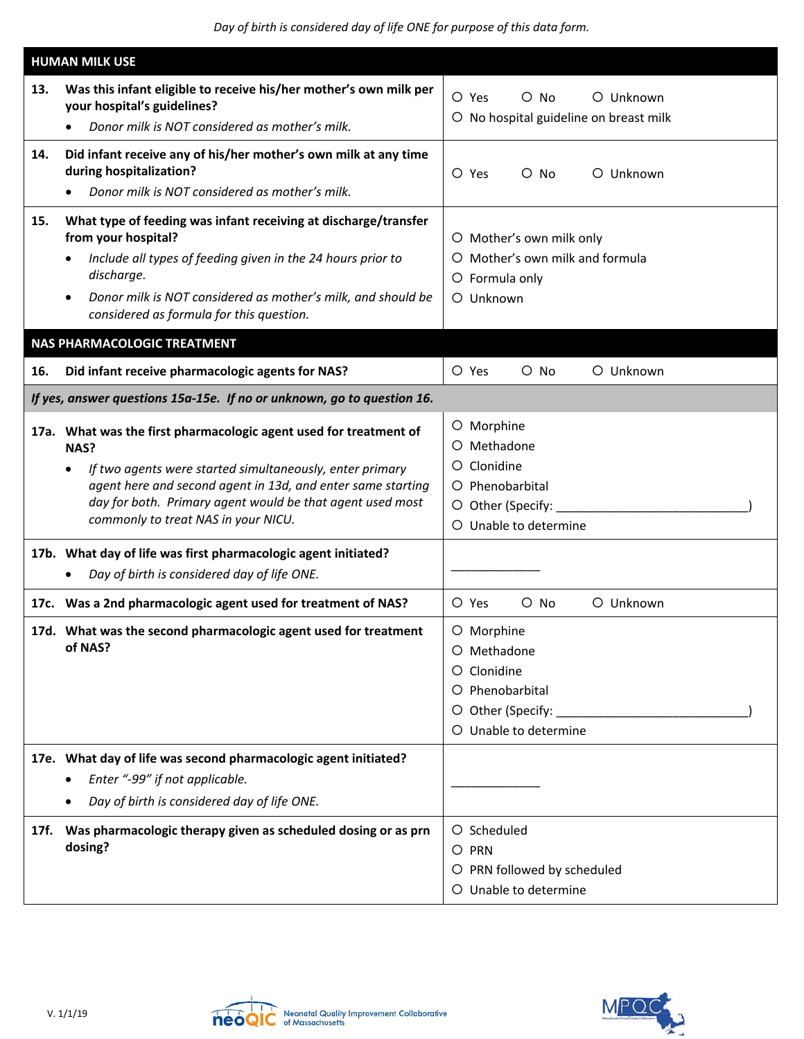|     | <b>HUMAN MILK USE</b>                                                                                                                                                                                                                                                                                                                                                                                                                  |                                                                                                           |
|-----|----------------------------------------------------------------------------------------------------------------------------------------------------------------------------------------------------------------------------------------------------------------------------------------------------------------------------------------------------------------------------------------------------------------------------------------|-----------------------------------------------------------------------------------------------------------|
| 13. | Was this infant eligible to receive his/her mother's own milk per<br>your hospital's guidelines?<br>Donor milk is NOT considered as mother's milk.                                                                                                                                                                                                                                                                                     | O Yes<br>O Unknown<br>$\circ$ No<br>O No hospital guideline on breast milk                                |
| 14. | Did infant receive any of his/her mother's own milk at any time<br>during hospitalization?<br>Donor milk is NOT considered as mother's milk.                                                                                                                                                                                                                                                                                           | $\circ$ No<br>O Unknown<br>$\circ$ Yes                                                                    |
| 15. | What type of feeding was infant receiving at discharge/transfer<br>from your hospital?<br>Include all types of feeding given in the 24 hours prior to<br>discharge.<br>Donor milk is NOT considered as mother's milk, and should be<br>considered as formula for this question.                                                                                                                                                        | O Mother's own milk only<br>O Mother's own milk and formula<br>O Formula only<br>O Unknown                |
|     | NAS PHARMACOLOGIC TREATMENT                                                                                                                                                                                                                                                                                                                                                                                                            |                                                                                                           |
| 16. | Did infant receive pharmacologic agents for NAS?                                                                                                                                                                                                                                                                                                                                                                                       | O Yes<br>$O$ No<br>O Unknown                                                                              |
|     | If yes, answer questions 15a-15e. If no or unknown, go to question 16.                                                                                                                                                                                                                                                                                                                                                                 |                                                                                                           |
|     | 17a. What was the first pharmacologic agent used for treatment of<br>NAS?<br>If two agents were started simultaneously, enter primary<br>$\bullet$<br>agent here and second agent in 13d, and enter same starting<br>day for both. Primary agent would be that agent used most<br>commonly to treat NAS in your NICU.<br>17b. What day of life was first pharmacologic agent initiated?<br>Day of birth is considered day of life ONE. | O Morphine<br>O Methadone<br>O Clonidine<br>O Phenobarbital<br>O Other (Specify:<br>O Unable to determine |
|     | 17c. Was a 2nd pharmacologic agent used for treatment of NAS?                                                                                                                                                                                                                                                                                                                                                                          | O Yes<br>O Unknown<br>$O$ No                                                                              |
|     | 17d. What was the second pharmacologic agent used for treatment<br>of NAS?                                                                                                                                                                                                                                                                                                                                                             | O Morphine<br>O Methadone<br>Clonidine<br>O Phenobarbital<br>O Other (Specify:<br>O Unable to determine   |
|     | 17e. What day of life was second pharmacologic agent initiated?<br>Enter "-99" if not applicable.<br>Day of birth is considered day of life ONE.                                                                                                                                                                                                                                                                                       |                                                                                                           |
|     | 17f. Was pharmacologic therapy given as scheduled dosing or as prn<br>dosing?                                                                                                                                                                                                                                                                                                                                                          | O Scheduled<br>O PRN<br>O PRN followed by scheduled<br>O Unable to determine                              |



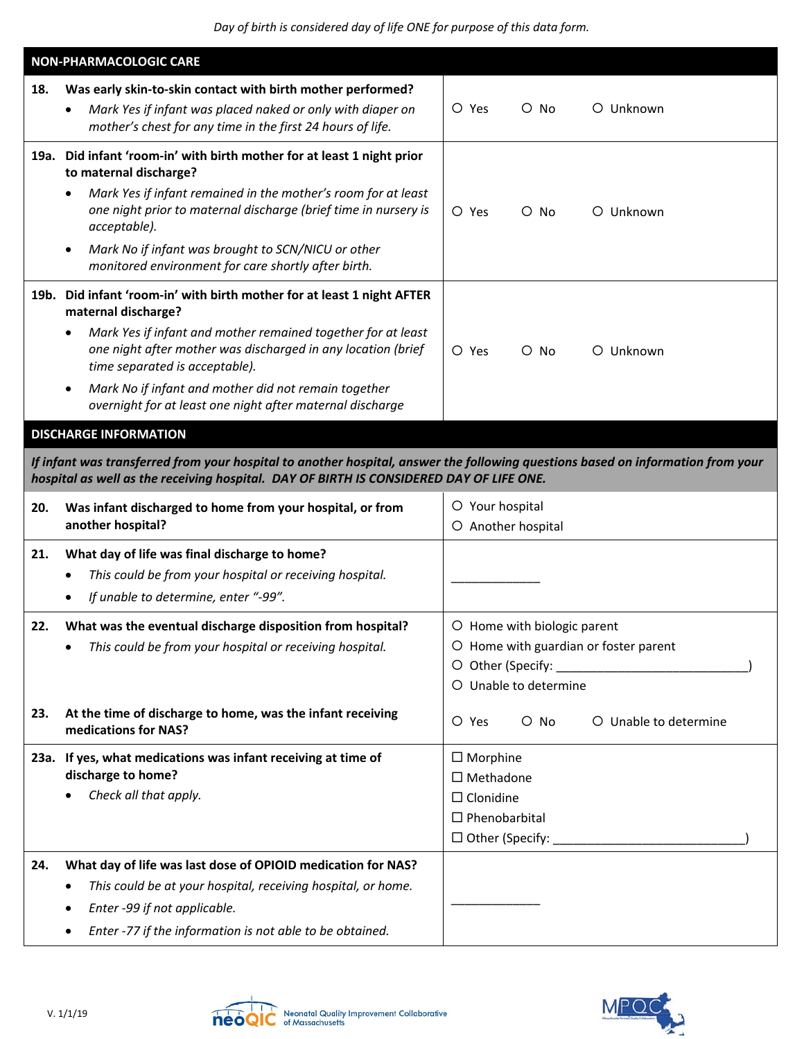|     | <b>NON-PHARMACOLOGIC CARE</b>                                                                                                                                                                                              |                                          |
|-----|----------------------------------------------------------------------------------------------------------------------------------------------------------------------------------------------------------------------------|------------------------------------------|
| 18. | Was early skin-to-skin contact with birth mother performed?<br>Mark Yes if infant was placed naked or only with diaper on                                                                                                  | O Yes<br>O Unknown<br>$\circ$ No         |
|     | mother's chest for any time in the first 24 hours of life.                                                                                                                                                                 |                                          |
|     | 19a. Did infant 'room-in' with birth mother for at least 1 night prior<br>to maternal discharge?                                                                                                                           |                                          |
|     | Mark Yes if infant remained in the mother's room for at least<br>٠<br>one night prior to maternal discharge (brief time in nursery is<br>acceptable).                                                                      | O Yes<br>$O$ No<br>O Unknown             |
|     | Mark No if infant was brought to SCN/NICU or other<br>monitored environment for care shortly after birth.                                                                                                                  |                                          |
|     | 19b. Did infant 'room-in' with birth mother for at least 1 night AFTER<br>maternal discharge?                                                                                                                              |                                          |
|     | Mark Yes if infant and mother remained together for at least<br>one night after mother was discharged in any location (brief<br>time separated is acceptable).                                                             | O Yes<br>$O$ No<br>O Unknown             |
|     | Mark No if infant and mother did not remain together<br>overnight for at least one night after maternal discharge                                                                                                          |                                          |
|     | <b>DISCHARGE INFORMATION</b>                                                                                                                                                                                               |                                          |
|     | If infant was transferred from your hospital to another hospital, answer the following questions based on information from your<br>hospital as well as the receiving hospital. DAY OF BIRTH IS CONSIDERED DAY OF LIFE ONE. |                                          |
| 20. | Was infant discharged to home from your hospital, or from<br>another hospital?                                                                                                                                             | O Your hospital<br>O Another hospital    |
| 21. | What day of life was final discharge to home?                                                                                                                                                                              |                                          |
|     | This could be from your hospital or receiving hospital.                                                                                                                                                                    |                                          |
|     | If unable to determine, enter "-99".                                                                                                                                                                                       |                                          |
| 22. | What was the eventual discharge disposition from hospital?                                                                                                                                                                 | O Home with biologic parent              |
|     | This could be from your hospital or receiving hospital.                                                                                                                                                                    | O Home with guardian or foster parent    |
|     |                                                                                                                                                                                                                            | O Other (Specify: 2000)                  |
|     |                                                                                                                                                                                                                            | O Unable to determine                    |
| 23. | At the time of discharge to home, was the infant receiving<br>medications for NAS?                                                                                                                                         | O Unable to determine<br>O Yes<br>$O$ No |
|     | 23a. If yes, what medications was infant receiving at time of                                                                                                                                                              | $\Box$ Morphine                          |
|     | discharge to home?                                                                                                                                                                                                         | $\square$ Methadone                      |
|     | Check all that apply.                                                                                                                                                                                                      | $\Box$ Clonidine                         |
|     |                                                                                                                                                                                                                            | $\Box$ Phenobarbital                     |
|     |                                                                                                                                                                                                                            | $\Box$ Other (Specify:                   |
| 24. | What day of life was last dose of OPIOID medication for NAS?                                                                                                                                                               |                                          |
|     | This could be at your hospital, receiving hospital, or home.                                                                                                                                                               |                                          |
|     | Enter -99 if not applicable.                                                                                                                                                                                               |                                          |
|     | Enter -77 if the information is not able to be obtained.                                                                                                                                                                   |                                          |